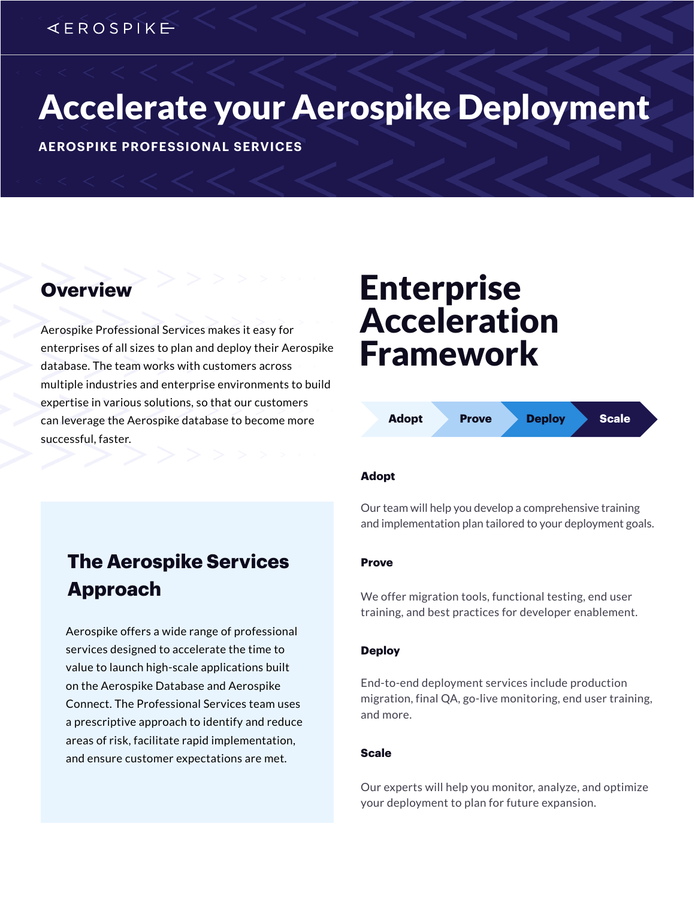## *KEROSPIKE*

# Accelerate your Aerospike Deployment

**AEROSPIKE PROFESSIONAL SERVICES**

Aerospike Professional Services makes it easy for enterprises of all sizes to plan and deploy their Aerospike database. The team works with customers across multiple industries and enterprise environments to build expertise in various solutions, so that our customers can leverage the Aerospike database to become more successful, faster.

# **Overview Enterprise** Acceleration Framework



### **Adopt**

Our team will help you develop a comprehensive training and implementation plan tailored to your deployment goals.

### **Prove**

We offer migration tools, functional testing, end user training, and best practices for developer enablement.

### **Deploy**

End-to-end deployment services include production migration, final QA, go-live monitoring, end user training, and more.

### **Scale**

Our experts will help you monitor, analyze, and optimize your deployment to plan for future expansion.

## **The Aerospike Services Approach**

Aerospike offers a wide range of professional services designed to accelerate the time to value to launch high-scale applications built on the Aerospike Database and Aerospike Connect. The Professional Services team uses a prescriptive approach to identify and reduce areas of risk, facilitate rapid implementation, and ensure customer expectations are met.